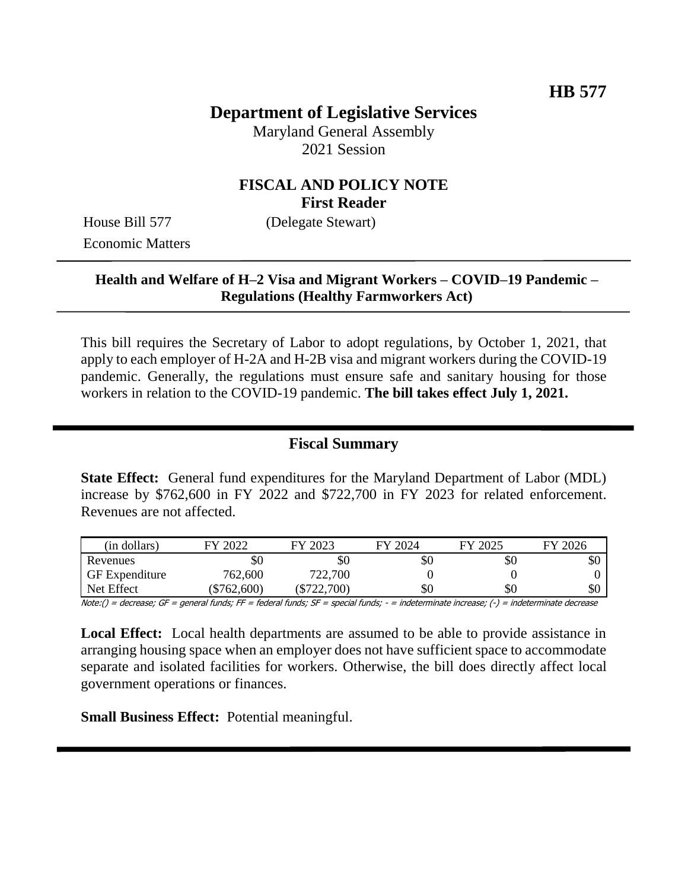# **Department of Legislative Services**

Maryland General Assembly 2021 Session

## **FISCAL AND POLICY NOTE First Reader**

House Bill 577 (Delegate Stewart) Economic Matters

## **Health and Welfare of H–2 Visa and Migrant Workers – COVID–19 Pandemic – Regulations (Healthy Farmworkers Act)**

This bill requires the Secretary of Labor to adopt regulations, by October 1, 2021, that apply to each employer of H-2A and H-2B visa and migrant workers during the COVID-19 pandemic. Generally, the regulations must ensure safe and sanitary housing for those workers in relation to the COVID-19 pandemic. **The bill takes effect July 1, 2021.** 

## **Fiscal Summary**

**State Effect:** General fund expenditures for the Maryland Department of Labor (MDL) increase by \$762,600 in FY 2022 and \$722,700 in FY 2023 for related enforcement. Revenues are not affected.

| (in dollars)          | 2022<br>EV    | FY 2023       | FY 2024 | FY 2025 | FY 2026 |
|-----------------------|---------------|---------------|---------|---------|---------|
| Revenues              | УU            | \$0           | \$0     | \$0     | \$0     |
| <b>GF</b> Expenditure | 762,600       | 722,700       |         |         |         |
| Net Effect            | $(\$762,600)$ | $(\$722,700)$ | \$0     | \$0     | \$0     |

Note:() = decrease; GF = general funds; FF = federal funds; SF = special funds; - = indeterminate increase; (-) = indeterminate decrease

**Local Effect:** Local health departments are assumed to be able to provide assistance in arranging housing space when an employer does not have sufficient space to accommodate separate and isolated facilities for workers. Otherwise, the bill does directly affect local government operations or finances.

**Small Business Effect:** Potential meaningful.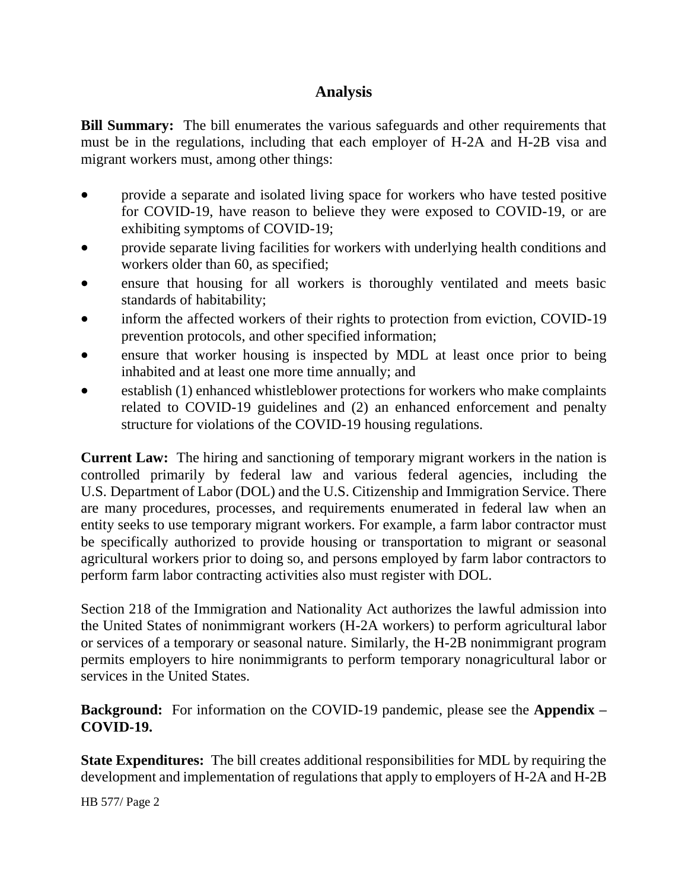# **Analysis**

**Bill Summary:** The bill enumerates the various safeguards and other requirements that must be in the regulations, including that each employer of H-2A and H-2B visa and migrant workers must, among other things:

- provide a separate and isolated living space for workers who have tested positive for COVID-19, have reason to believe they were exposed to COVID-19, or are exhibiting symptoms of COVID-19;
- provide separate living facilities for workers with underlying health conditions and workers older than 60, as specified;
- ensure that housing for all workers is thoroughly ventilated and meets basic standards of habitability;
- inform the affected workers of their rights to protection from eviction, COVID-19 prevention protocols, and other specified information;
- ensure that worker housing is inspected by MDL at least once prior to being inhabited and at least one more time annually; and
- establish (1) enhanced whistleblower protections for workers who make complaints related to COVID-19 guidelines and (2) an enhanced enforcement and penalty structure for violations of the COVID-19 housing regulations.

**Current Law:** The hiring and sanctioning of temporary migrant workers in the nation is controlled primarily by federal law and various federal agencies, including the U.S. Department of Labor (DOL) and the U.S. Citizenship and Immigration Service. There are many procedures, processes, and requirements enumerated in federal law when an entity seeks to use temporary migrant workers. For example, a farm labor contractor must be specifically authorized to provide housing or transportation to migrant or seasonal agricultural workers prior to doing so, and persons employed by farm labor contractors to perform farm labor contracting activities also must register with DOL.

Section 218 of the Immigration and Nationality Act authorizes the lawful admission into the United States of nonimmigrant workers (H-2A workers) to perform agricultural labor or services of a temporary or seasonal nature. Similarly, the H-2B nonimmigrant program permits employers to hire nonimmigrants to perform temporary nonagricultural labor or services in the United States.

**Background:** For information on the COVID-19 pandemic, please see the **Appendix – COVID-19.** 

**State Expenditures:** The bill creates additional responsibilities for MDL by requiring the development and implementation of regulations that apply to employers of H-2A and H-2B

HB 577/ Page 2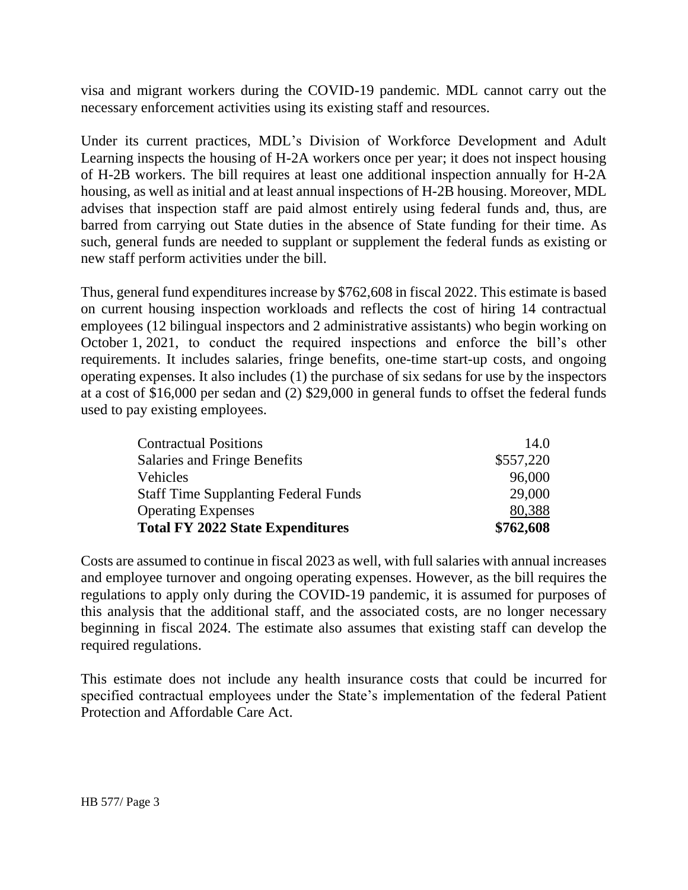visa and migrant workers during the COVID-19 pandemic. MDL cannot carry out the necessary enforcement activities using its existing staff and resources.

Under its current practices, MDL's Division of Workforce Development and Adult Learning inspects the housing of H-2A workers once per year; it does not inspect housing of H-2B workers. The bill requires at least one additional inspection annually for H-2A housing, as well as initial and at least annual inspections of H-2B housing. Moreover, MDL advises that inspection staff are paid almost entirely using federal funds and, thus, are barred from carrying out State duties in the absence of State funding for their time. As such, general funds are needed to supplant or supplement the federal funds as existing or new staff perform activities under the bill.

Thus, general fund expenditures increase by \$762,608 in fiscal 2022. This estimate is based on current housing inspection workloads and reflects the cost of hiring 14 contractual employees (12 bilingual inspectors and 2 administrative assistants) who begin working on October 1, 2021, to conduct the required inspections and enforce the bill's other requirements. It includes salaries, fringe benefits, one-time start-up costs, and ongoing operating expenses. It also includes (1) the purchase of six sedans for use by the inspectors at a cost of \$16,000 per sedan and (2) \$29,000 in general funds to offset the federal funds used to pay existing employees.

| <b>Contractual Positions</b>                | 14.0      |
|---------------------------------------------|-----------|
| Salaries and Fringe Benefits                | \$557,220 |
| Vehicles                                    | 96,000    |
| <b>Staff Time Supplanting Federal Funds</b> | 29,000    |
| <b>Operating Expenses</b>                   | 80,388    |
| <b>Total FY 2022 State Expenditures</b>     | \$762,608 |

Costs are assumed to continue in fiscal 2023 as well, with full salaries with annual increases and employee turnover and ongoing operating expenses. However, as the bill requires the regulations to apply only during the COVID-19 pandemic, it is assumed for purposes of this analysis that the additional staff, and the associated costs, are no longer necessary beginning in fiscal 2024. The estimate also assumes that existing staff can develop the required regulations.

This estimate does not include any health insurance costs that could be incurred for specified contractual employees under the State's implementation of the federal Patient Protection and Affordable Care Act.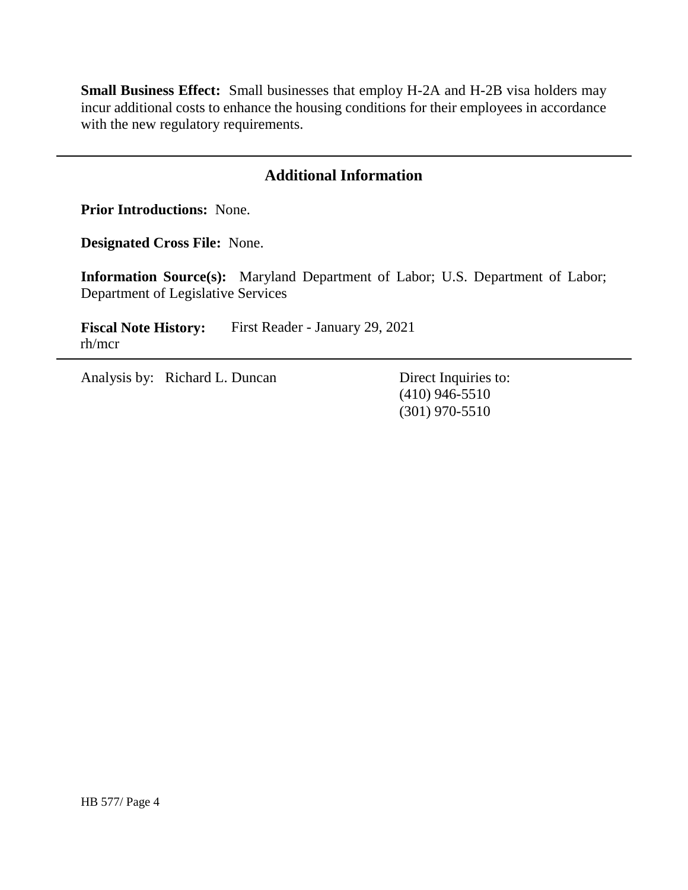**Small Business Effect:** Small businesses that employ H-2A and H-2B visa holders may incur additional costs to enhance the housing conditions for their employees in accordance with the new regulatory requirements.

## **Additional Information**

**Prior Introductions:** None.

**Designated Cross File:** None.

**Information Source(s):** Maryland Department of Labor; U.S. Department of Labor; Department of Legislative Services

**Fiscal Note History:** First Reader - January 29, 2021 rh/mcr

Analysis by: Richard L. Duncan Direct Inquiries to:

(410) 946-5510 (301) 970-5510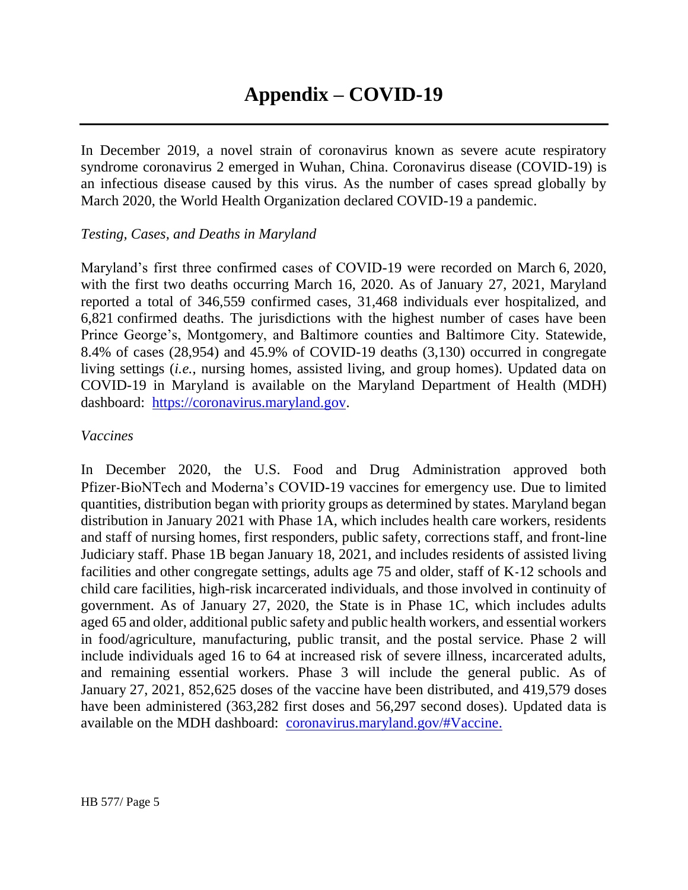In December 2019, a novel strain of coronavirus known as severe acute respiratory syndrome coronavirus 2 emerged in Wuhan, China. Coronavirus disease (COVID-19) is an infectious disease caused by this virus. As the number of cases spread globally by March 2020, the World Health Organization declared COVID-19 a pandemic.

### *Testing, Cases, and Deaths in Maryland*

Maryland's first three confirmed cases of COVID-19 were recorded on March 6, 2020, with the first two deaths occurring March 16, 2020. As of January 27, 2021, Maryland reported a total of 346,559 confirmed cases, 31,468 individuals ever hospitalized, and 6,821 confirmed deaths. The jurisdictions with the highest number of cases have been Prince George's, Montgomery, and Baltimore counties and Baltimore City. Statewide, 8.4% of cases (28,954) and 45.9% of COVID-19 deaths (3,130) occurred in congregate living settings (*i.e.*, nursing homes, assisted living, and group homes). Updated data on COVID-19 in Maryland is available on the Maryland Department of Health (MDH) dashboard: [https://coronavirus.maryland.gov.](https://coronavirus.maryland.gov/)

#### *Vaccines*

In December 2020, the U.S. Food and Drug Administration approved both Pfizer-BioNTech and Moderna's COVID-19 vaccines for emergency use. Due to limited quantities, distribution began with priority groups as determined by states. Maryland began distribution in January 2021 with Phase 1A, which includes health care workers, residents and staff of nursing homes, first responders, public safety, corrections staff, and front-line Judiciary staff. Phase 1B began January 18, 2021, and includes residents of assisted living facilities and other congregate settings, adults age 75 and older, staff of K-12 schools and child care facilities, high-risk incarcerated individuals, and those involved in continuity of government. As of January 27, 2020, the State is in Phase 1C, which includes adults aged 65 and older, additional public safety and public health workers, and essential workers in food/agriculture, manufacturing, public transit, and the postal service. Phase 2 will include individuals aged 16 to 64 at increased risk of severe illness, incarcerated adults, and remaining essential workers. Phase 3 will include the general public. As of January 27, 2021, 852,625 doses of the vaccine have been distributed, and 419,579 doses have been administered (363,282 first doses and 56,297 second doses). Updated data is available on the MDH dashboard: [coronavirus.maryland.gov/#Vaccine.](https://coronavirus.maryland.gov/#Vaccine)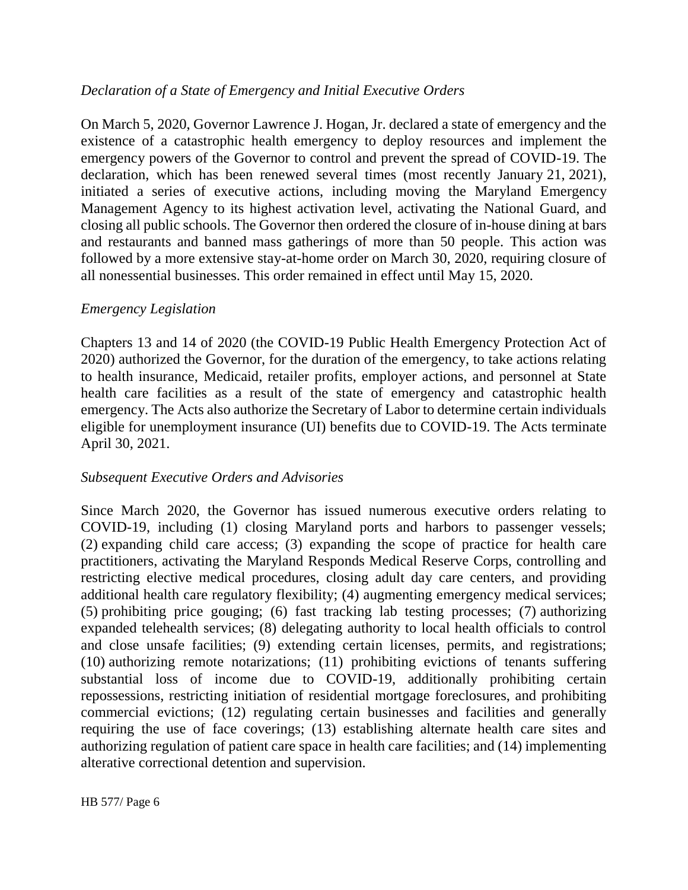## *Declaration of a State of Emergency and Initial Executive Orders*

On March 5, 2020, Governor Lawrence J. Hogan, Jr. declared a state of emergency and the existence of a catastrophic health emergency to deploy resources and implement the emergency powers of the Governor to control and prevent the spread of COVID-19. The declaration, which has been renewed several times (most recently January 21, 2021), initiated a series of executive actions, including moving the Maryland Emergency Management Agency to its highest activation level, activating the National Guard, and closing all public schools. The Governor then ordered the closure of in-house dining at bars and restaurants and banned mass gatherings of more than 50 people. This action was followed by a more extensive stay-at-home order on March 30, 2020, requiring closure of all nonessential businesses. This order remained in effect until May 15, 2020.

### *Emergency Legislation*

Chapters 13 and 14 of 2020 (the COVID-19 Public Health Emergency Protection Act of 2020) authorized the Governor, for the duration of the emergency, to take actions relating to health insurance, Medicaid, retailer profits, employer actions, and personnel at State health care facilities as a result of the state of emergency and catastrophic health emergency. The Acts also authorize the Secretary of Labor to determine certain individuals eligible for unemployment insurance (UI) benefits due to COVID-19. The Acts terminate April 30, 2021.

### *Subsequent Executive Orders and Advisories*

Since March 2020, the Governor has issued numerous executive orders relating to COVID-19, including (1) closing Maryland ports and harbors to passenger vessels; (2) expanding child care access; (3) expanding the scope of practice for health care practitioners, activating the Maryland Responds Medical Reserve Corps, controlling and restricting elective medical procedures, closing adult day care centers, and providing additional health care regulatory flexibility; (4) augmenting emergency medical services; (5) prohibiting price gouging; (6) fast tracking lab testing processes; (7) authorizing expanded telehealth services; (8) delegating authority to local health officials to control and close unsafe facilities; (9) extending certain licenses, permits, and registrations; (10) authorizing remote notarizations; (11) prohibiting evictions of tenants suffering substantial loss of income due to COVID-19, additionally prohibiting certain repossessions, restricting initiation of residential mortgage foreclosures, and prohibiting commercial evictions; (12) regulating certain businesses and facilities and generally requiring the use of face coverings; (13) establishing alternate health care sites and authorizing regulation of patient care space in health care facilities; and (14) implementing alterative correctional detention and supervision.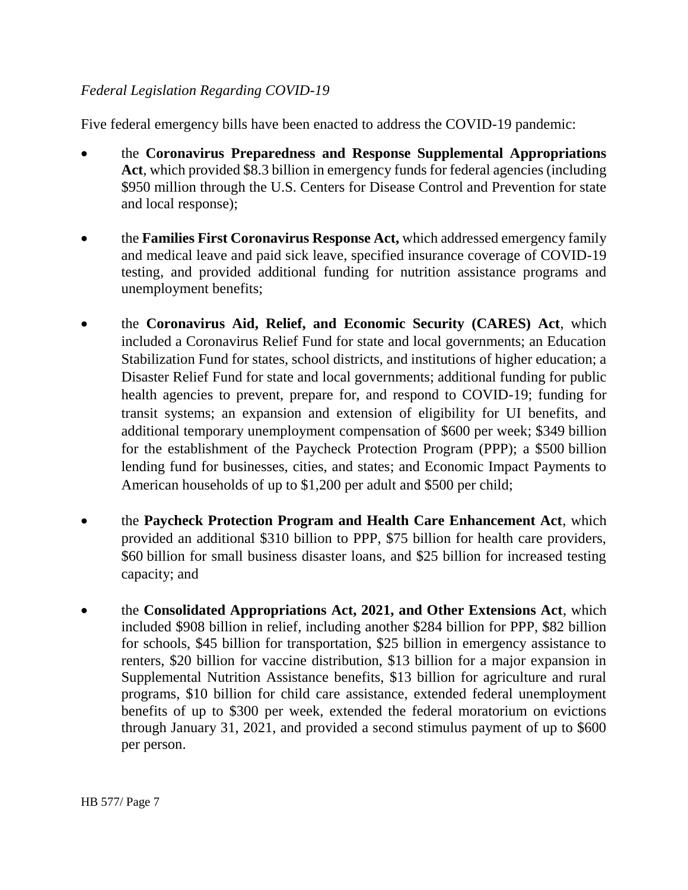## *Federal Legislation Regarding COVID-19*

Five federal emergency bills have been enacted to address the COVID-19 pandemic:

- the **Coronavirus Preparedness and Response Supplemental Appropriations Act**, which provided \$8.3 billion in emergency funds for federal agencies (including \$950 million through the U.S. Centers for Disease Control and Prevention for state and local response);
- the **Families First Coronavirus Response Act,** which addressed emergency family and medical leave and paid sick leave, specified insurance coverage of COVID-19 testing, and provided additional funding for nutrition assistance programs and unemployment benefits;
- the **Coronavirus Aid, Relief, and Economic Security (CARES) Act**, which included a Coronavirus Relief Fund for state and local governments; an Education Stabilization Fund for states, school districts, and institutions of higher education; a Disaster Relief Fund for state and local governments; additional funding for public health agencies to prevent, prepare for, and respond to COVID-19; funding for transit systems; an expansion and extension of eligibility for UI benefits, and additional temporary unemployment compensation of \$600 per week; \$349 billion for the establishment of the Paycheck Protection Program (PPP); a \$500 billion lending fund for businesses, cities, and states; and Economic Impact Payments to American households of up to \$1,200 per adult and \$500 per child;
- the **Paycheck Protection Program and Health Care Enhancement Act**, which provided an additional \$310 billion to PPP, \$75 billion for health care providers, \$60 billion for small business disaster loans, and \$25 billion for increased testing capacity; and
- the **Consolidated Appropriations Act, 2021, and Other Extensions Act**, which included \$908 billion in relief, including another \$284 billion for PPP, \$82 billion for schools, \$45 billion for transportation, \$25 billion in emergency assistance to renters, \$20 billion for vaccine distribution, \$13 billion for a major expansion in Supplemental Nutrition Assistance benefits, \$13 billion for agriculture and rural programs, \$10 billion for child care assistance, extended federal unemployment benefits of up to \$300 per week, extended the federal moratorium on evictions through January 31, 2021, and provided a second stimulus payment of up to \$600 per person.